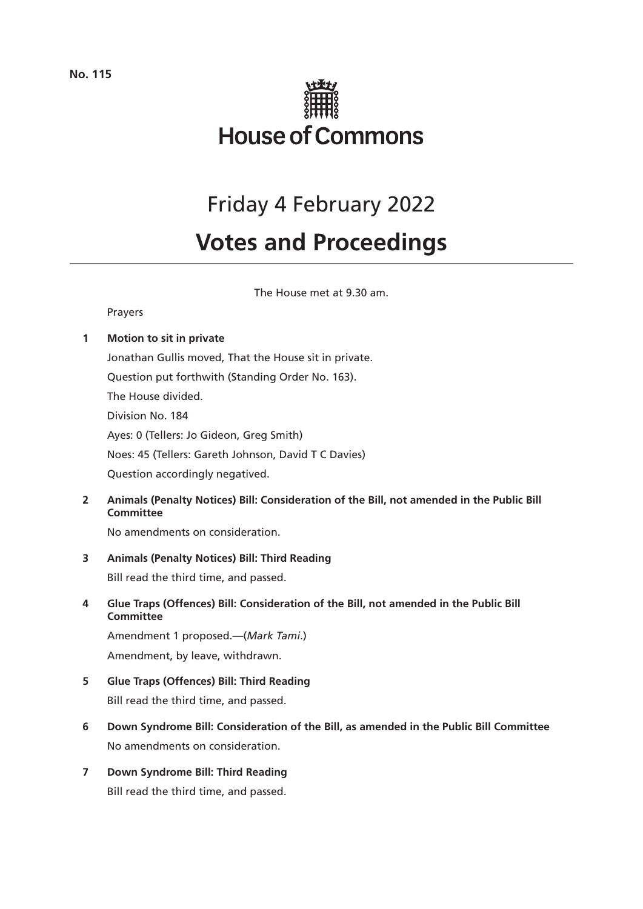

# Friday 4 February 2022

# **Votes and Proceedings**

The House met at 9.30 am.

# Prayers

# **1 Motion to sit in private**

Jonathan Gullis moved, That the House sit in private. Question put forthwith (Standing Order No. 163). The House divided. Division No. 184 Ayes: 0 (Tellers: Jo Gideon, Greg Smith) Noes: 45 (Tellers: Gareth Johnson, David T C Davies) Question accordingly negatived.

**2 Animals (Penalty Notices) Bill: Consideration of the Bill, not amended in the Public Bill Committee** 

No amendments on consideration.

# **3 Animals (Penalty Notices) Bill: Third Reading**

Bill read the third time, and passed.

**4 Glue Traps (Offences) Bill: Consideration of the Bill, not amended in the Public Bill Committee**

Amendment 1 proposed.—(*Mark Tami*.) Amendment, by leave, withdrawn.

- **5 Glue Traps (Offences) Bill: Third Reading** Bill read the third time, and passed.
- **6 Down Syndrome Bill: Consideration of the Bill, as amended in the Public Bill Committee**  No amendments on consideration.
- **7 Down Syndrome Bill: Third Reading** Bill read the third time, and passed.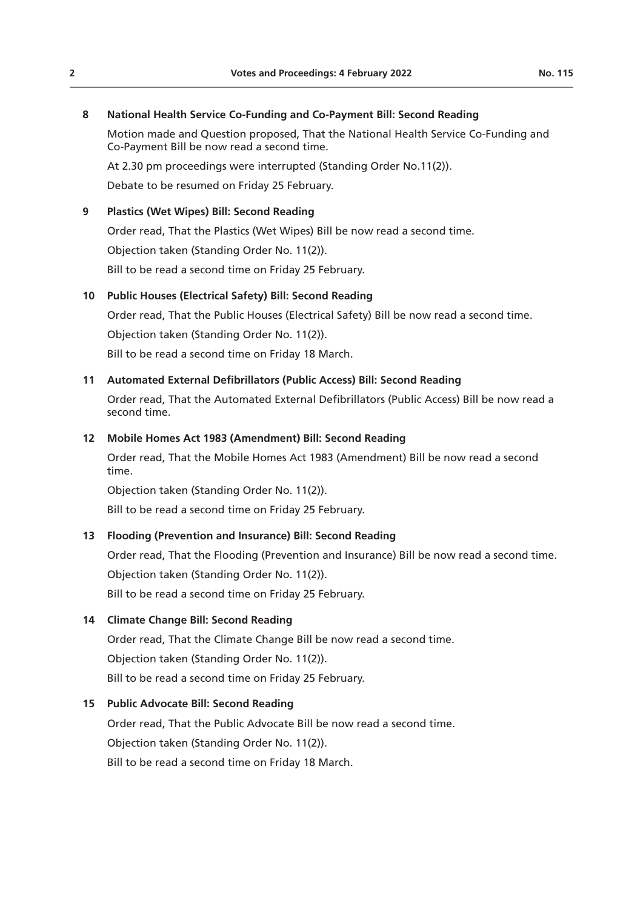### **8 National Health Service Co-Funding and Co-Payment Bill: Second Reading**

Motion made and Question proposed, That the National Health Service Co-Funding and Co-Payment Bill be now read a second time.

At 2.30 pm proceedings were interrupted (Standing Order No.11(2)).

Debate to be resumed on Friday 25 February.

# **9 Plastics (Wet Wipes) Bill: Second Reading**

Order read, That the Plastics (Wet Wipes) Bill be now read a second time.

Objection taken (Standing Order No. 11(2)).

Bill to be read a second time on Friday 25 February.

# **10 Public Houses (Electrical Safety) Bill: Second Reading**

Order read, That the Public Houses (Electrical Safety) Bill be now read a second time. Objection taken (Standing Order No. 11(2)).

Bill to be read a second time on Friday 18 March.

# **11 Automated External Defibrillators (Public Access) Bill: Second Reading**

Order read, That the Automated External Defibrillators (Public Access) Bill be now read a second time.

# **12 Mobile Homes Act 1983 (Amendment) Bill: Second Reading**

Order read, That the Mobile Homes Act 1983 (Amendment) Bill be now read a second time.

Objection taken (Standing Order No. 11(2)).

Bill to be read a second time on Friday 25 February.

# **13 Flooding (Prevention and Insurance) Bill: Second Reading**

Order read, That the Flooding (Prevention and Insurance) Bill be now read a second time. Objection taken (Standing Order No. 11(2)). Bill to be read a second time on Friday 25 February.

# **14 Climate Change Bill: Second Reading**

Order read, That the Climate Change Bill be now read a second time. Objection taken (Standing Order No. 11(2)). Bill to be read a second time on Friday 25 February.

# **15 Public Advocate Bill: Second Reading**

Order read, That the Public Advocate Bill be now read a second time. Objection taken (Standing Order No. 11(2)). Bill to be read a second time on Friday 18 March.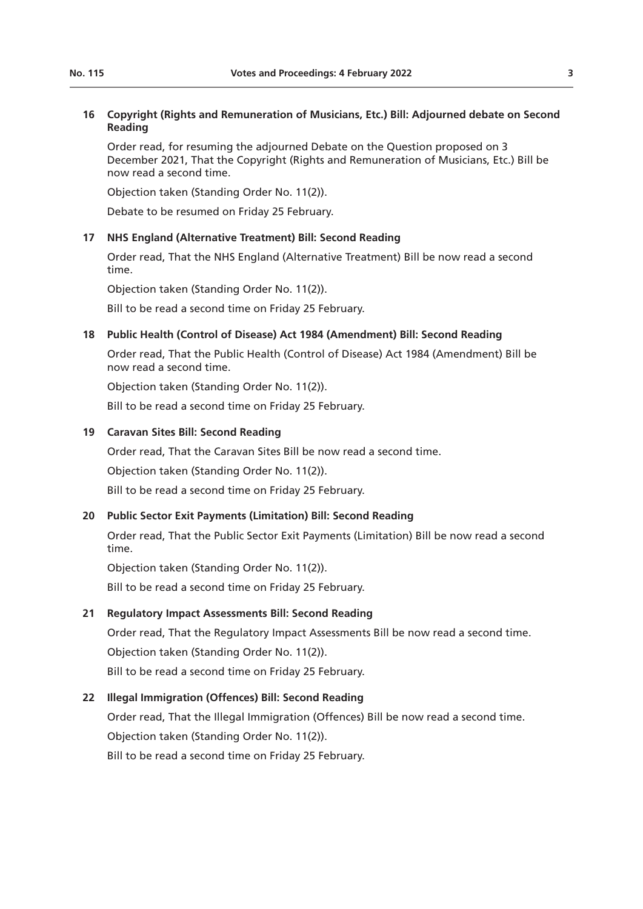#### **16 Copyright (Rights and Remuneration of Musicians, Etc.) Bill: Adjourned debate on Second Reading**

Order read, for resuming the adjourned Debate on the Question proposed on 3 December 2021, That the Copyright (Rights and Remuneration of Musicians, Etc.) Bill be now read a second time.

Objection taken (Standing Order No. 11(2)).

Debate to be resumed on Friday 25 February.

#### **17 NHS England (Alternative Treatment) Bill: Second Reading**

Order read, That the NHS England (Alternative Treatment) Bill be now read a second time.

Objection taken (Standing Order No. 11(2)).

Bill to be read a second time on Friday 25 February.

#### **18 Public Health (Control of Disease) Act 1984 (Amendment) Bill: Second Reading**

Order read, That the Public Health (Control of Disease) Act 1984 (Amendment) Bill be now read a second time.

Objection taken (Standing Order No. 11(2)).

Bill to be read a second time on Friday 25 February.

#### **19 Caravan Sites Bill: Second Reading**

Order read, That the Caravan Sites Bill be now read a second time.

Objection taken (Standing Order No. 11(2)).

Bill to be read a second time on Friday 25 February.

# **20 Public Sector Exit Payments (Limitation) Bill: Second Reading**

Order read, That the Public Sector Exit Payments (Limitation) Bill be now read a second time.

Objection taken (Standing Order No. 11(2)).

Bill to be read a second time on Friday 25 February.

#### **21 Regulatory Impact Assessments Bill: Second Reading**

Order read, That the Regulatory Impact Assessments Bill be now read a second time. Objection taken (Standing Order No. 11(2)).

Bill to be read a second time on Friday 25 February.

### **22 Illegal Immigration (Offences) Bill: Second Reading**

Order read, That the Illegal Immigration (Offences) Bill be now read a second time. Objection taken (Standing Order No. 11(2)). Bill to be read a second time on Friday 25 February.